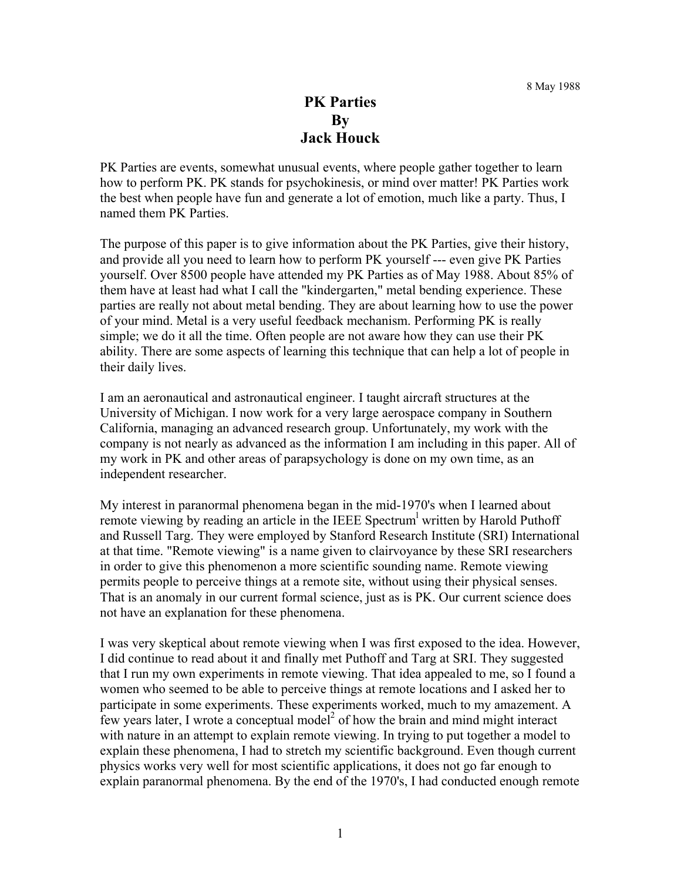## **PK Parties By Jack Houck**

PK Parties are events, somewhat unusual events, where people gather together to learn how to perform PK. PK stands for psychokinesis, or mind over matter! PK Parties work the best when people have fun and generate a lot of emotion, much like a party. Thus, I named them PK Parties.

The purpose of this paper is to give information about the PK Parties, give their history, and provide all you need to learn how to perform PK yourself --- even give PK Parties yourself. Over 8500 people have attended my PK Parties as of May 1988. About 85% of them have at least had what I call the "kindergarten," metal bending experience. These parties are really not about metal bending. They are about learning how to use the power of your mind. Metal is a very useful feedback mechanism. Performing PK is really simple; we do it all the time. Often people are not aware how they can use their PK ability. There are some aspects of learning this technique that can help a lot of people in their daily lives.

I am an aeronautical and astronautical engineer. I taught aircraft structures at the University of Michigan. I now work for a very large aerospace company in Southern California, managing an advanced research group. Unfortunately, my work with the company is not nearly as advanced as the information I am including in this paper. All of my work in PK and other areas of parapsychology is done on my own time, as an independent researcher.

My interest in paranormal phenomena began in the mid-1970's when I learned about remote viewing by reading an article in the IEEE Spectrum<sup>1</sup> written by Harold Puthoff and Russell Targ. They were employed by Stanford Research Institute (SRI) International at that time. "Remote viewing" is a name given to clairvoyance by these SRI researchers in order to give this phenomenon a more scientific sounding name. Remote viewing permits people to perceive things at a remote site, without using their physical senses. That is an anomaly in our current formal science, just as is PK. Our current science does not have an explanation for these phenomena.

I was very skeptical about remote viewing when I was first exposed to the idea. However, I did continue to read about it and finally met Puthoff and Targ at SRI. They suggested that I run my own experiments in remote viewing. That idea appealed to me, so I found a women who seemed to be able to perceive things at remote locations and I asked her to participate in some experiments. These experiments worked, much to my amazement. A few years later, I wrote a conceptual model<sup>2</sup> of how the brain and mind might interact with nature in an attempt to explain remote viewing. In trying to put together a model to explain these phenomena, I had to stretch my scientific background. Even though current physics works very well for most scientific applications, it does not go far enough to explain paranormal phenomena. By the end of the 1970's, I had conducted enough remote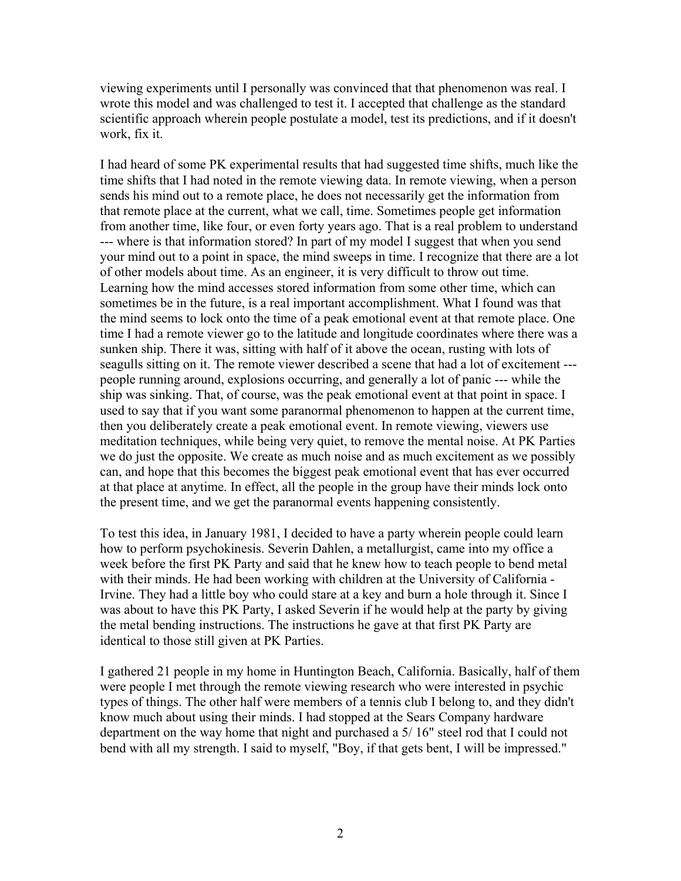viewing experiments until I personally was convinced that that phenomenon was real. I wrote this model and was challenged to test it. I accepted that challenge as the standard scientific approach wherein people postulate a model, test its predictions, and if it doesn't work, fix it.

I had heard of some PK experimental results that had suggested time shifts, much like the time shifts that I had noted in the remote viewing data. In remote viewing, when a person sends his mind out to a remote place, he does not necessarily get the information from that remote place at the current, what we call, time. Sometimes people get information from another time, like four, or even forty years ago. That is a real problem to understand --- where is that information stored? In part of my model I suggest that when you send your mind out to a point in space, the mind sweeps in time. I recognize that there are a lot of other models about time. As an engineer, it is very difficult to throw out time. Learning how the mind accesses stored information from some other time, which can sometimes be in the future, is a real important accomplishment. What I found was that the mind seems to lock onto the time of a peak emotional event at that remote place. One time I had a remote viewer go to the latitude and longitude coordinates where there was a sunken ship. There it was, sitting with half of it above the ocean, rusting with lots of seagulls sitting on it. The remote viewer described a scene that had a lot of excitement -- people running around, explosions occurring, and generally a lot of panic --- while the ship was sinking. That, of course, was the peak emotional event at that point in space. I used to say that if you want some paranormal phenomenon to happen at the current time, then you deliberately create a peak emotional event. In remote viewing, viewers use meditation techniques, while being very quiet, to remove the mental noise. At PK Parties we do just the opposite. We create as much noise and as much excitement as we possibly can, and hope that this becomes the biggest peak emotional event that has ever occurred at that place at anytime. In effect, all the people in the group have their minds lock onto the present time, and we get the paranormal events happening consistently.

To test this idea, in January 1981, I decided to have a party wherein people could learn how to perform psychokinesis. Severin Dahlen, a metallurgist, came into my office a week before the first PK Party and said that he knew how to teach people to bend metal with their minds. He had been working with children at the University of California - Irvine. They had a little boy who could stare at a key and burn a hole through it. Since I was about to have this PK Party, I asked Severin if he would help at the party by giving the metal bending instructions. The instructions he gave at that first PK Party are identical to those still given at PK Parties.

I gathered 21 people in my home in Huntington Beach, California. Basically, half of them were people I met through the remote viewing research who were interested in psychic types of things. The other half were members of a tennis club I belong to, and they didn't know much about using their minds. I had stopped at the Sears Company hardware department on the way home that night and purchased a 5/ 16" steel rod that I could not bend with all my strength. I said to myself, "Boy, if that gets bent, I will be impressed."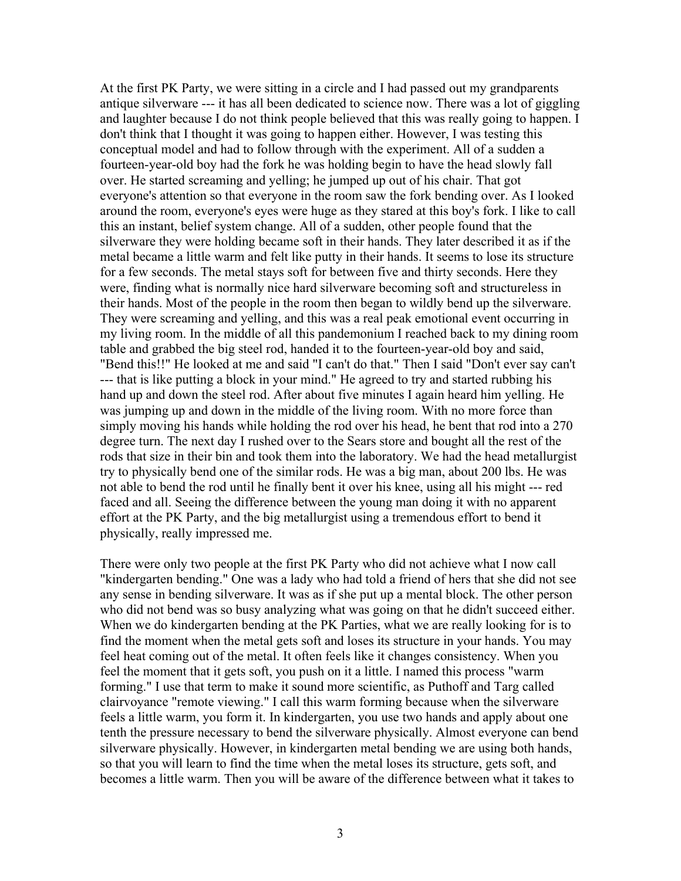At the first PK Party, we were sitting in a circle and I had passed out my grandparents antique silverware --- it has all been dedicated to science now. There was a lot of giggling and laughter because I do not think people believed that this was really going to happen. I don't think that I thought it was going to happen either. However, I was testing this conceptual model and had to follow through with the experiment. All of a sudden a fourteen-year-old boy had the fork he was holding begin to have the head slowly fall over. He started screaming and yelling; he jumped up out of his chair. That got everyone's attention so that everyone in the room saw the fork bending over. As I looked around the room, everyone's eyes were huge as they stared at this boy's fork. I like to call this an instant, belief system change. All of a sudden, other people found that the silverware they were holding became soft in their hands. They later described it as if the metal became a little warm and felt like putty in their hands. It seems to lose its structure for a few seconds. The metal stays soft for between five and thirty seconds. Here they were, finding what is normally nice hard silverware becoming soft and structureless in their hands. Most of the people in the room then began to wildly bend up the silverware. They were screaming and yelling, and this was a real peak emotional event occurring in my living room. In the middle of all this pandemonium I reached back to my dining room table and grabbed the big steel rod, handed it to the fourteen-year-old boy and said, "Bend this!!" He looked at me and said "I can't do that." Then I said "Don't ever say can't --- that is like putting a block in your mind." He agreed to try and started rubbing his hand up and down the steel rod. After about five minutes I again heard him yelling. He was jumping up and down in the middle of the living room. With no more force than simply moving his hands while holding the rod over his head, he bent that rod into a 270 degree turn. The next day I rushed over to the Sears store and bought all the rest of the rods that size in their bin and took them into the laboratory. We had the head metallurgist try to physically bend one of the similar rods. He was a big man, about 200 lbs. He was not able to bend the rod until he finally bent it over his knee, using all his might --- red faced and all. Seeing the difference between the young man doing it with no apparent effort at the PK Party, and the big metallurgist using a tremendous effort to bend it physically, really impressed me.

There were only two people at the first PK Party who did not achieve what I now call "kindergarten bending." One was a lady who had told a friend of hers that she did not see any sense in bending silverware. It was as if she put up a mental block. The other person who did not bend was so busy analyzing what was going on that he didn't succeed either. When we do kindergarten bending at the PK Parties, what we are really looking for is to find the moment when the metal gets soft and loses its structure in your hands. You may feel heat coming out of the metal. It often feels like it changes consistency. When you feel the moment that it gets soft, you push on it a little. I named this process "warm forming." I use that term to make it sound more scientific, as Puthoff and Targ called clairvoyance "remote viewing." I call this warm forming because when the silverware feels a little warm, you form it. In kindergarten, you use two hands and apply about one tenth the pressure necessary to bend the silverware physically. Almost everyone can bend silverware physically. However, in kindergarten metal bending we are using both hands, so that you will learn to find the time when the metal loses its structure, gets soft, and becomes a little warm. Then you will be aware of the difference between what it takes to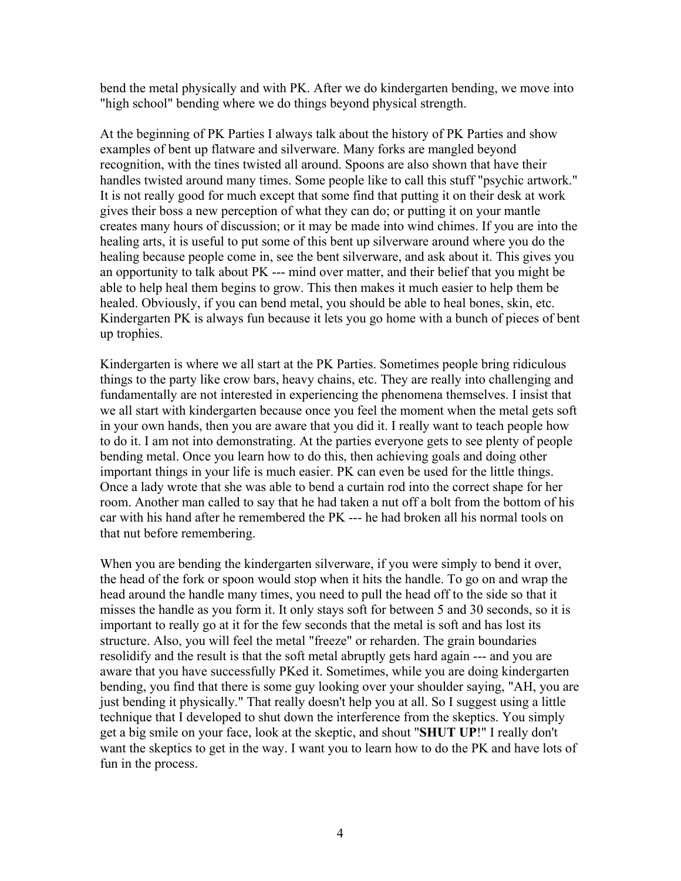bend the metal physically and with PK. After we do kindergarten bending, we move into "high school" bending where we do things beyond physical strength.

At the beginning of PK Parties I always talk about the history of PK Parties and show examples of bent up flatware and silverware. Many forks are mangled beyond recognition, with the tines twisted all around. Spoons are also shown that have their handles twisted around many times. Some people like to call this stuff "psychic artwork." It is not really good for much except that some find that putting it on their desk at work gives their boss a new perception of what they can do; or putting it on your mantle creates many hours of discussion; or it may be made into wind chimes. If you are into the healing arts, it is useful to put some of this bent up silverware around where you do the healing because people come in, see the bent silverware, and ask about it. This gives you an opportunity to talk about PK --- mind over matter, and their belief that you might be able to help heal them begins to grow. This then makes it much easier to help them be healed. Obviously, if you can bend metal, you should be able to heal bones, skin, etc. Kindergarten PK is always fun because it lets you go home with a bunch of pieces of bent up trophies.

Kindergarten is where we all start at the PK Parties. Sometimes people bring ridiculous things to the party like crow bars, heavy chains, etc. They are really into challenging and fundamentally are not interested in experiencing the phenomena themselves. I insist that we all start with kindergarten because once you feel the moment when the metal gets soft in your own hands, then you are aware that you did it. I really want to teach people how to do it. I am not into demonstrating. At the parties everyone gets to see plenty of people bending metal. Once you learn how to do this, then achieving goals and doing other important things in your life is much easier. PK can even be used for the little things. Once a lady wrote that she was able to bend a curtain rod into the correct shape for her room. Another man called to say that he had taken a nut off a bolt from the bottom of his car with his hand after he remembered the PK --- he had broken all his normal tools on that nut before remembering.

When you are bending the kindergarten silverware, if you were simply to bend it over, the head of the fork or spoon would stop when it hits the handle. To go on and wrap the head around the handle many times, you need to pull the head off to the side so that it misses the handle as you form it. It only stays soft for between 5 and 30 seconds, so it is important to really go at it for the few seconds that the metal is soft and has lost its structure. Also, you will feel the metal "freeze" or reharden. The grain boundaries resolidify and the result is that the soft metal abruptly gets hard again --- and you are aware that you have successfully PKed it. Sometimes, while you are doing kindergarten bending, you find that there is some guy looking over your shoulder saying, "AH, you are just bending it physically." That really doesn't help you at all. So I suggest using a little technique that I developed to shut down the interference from the skeptics. You simply get a big smile on your face, look at the skeptic, and shout "**SHUT UP**!" I really don't want the skeptics to get in the way. I want you to learn how to do the PK and have lots of fun in the process.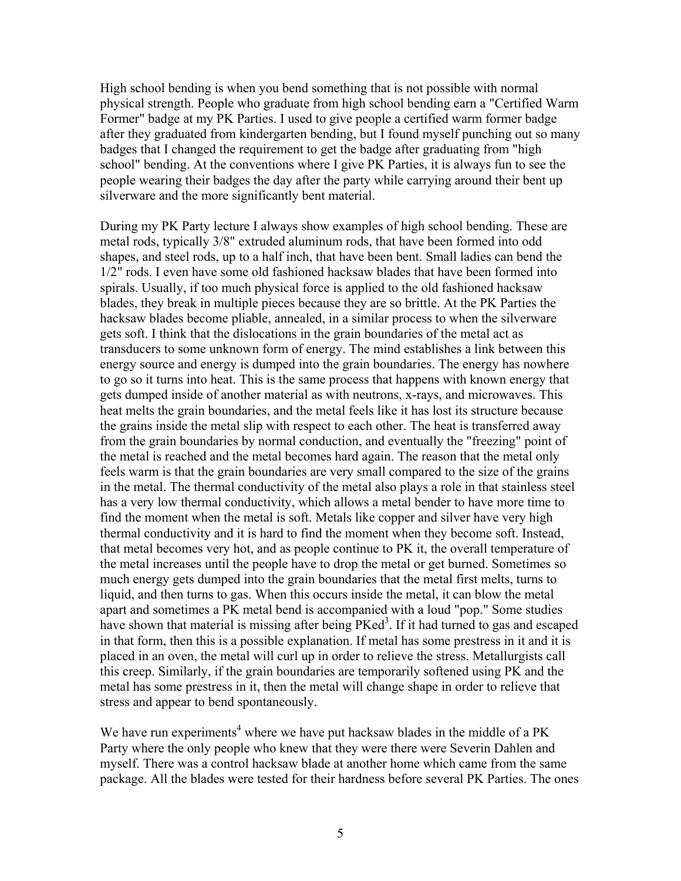High school bending is when you bend something that is not possible with normal physical strength. People who graduate from high school bending earn a "Certified Warm Former" badge at my PK Parties. I used to give people a certified warm former badge after they graduated from kindergarten bending, but I found myself punching out so many badges that I changed the requirement to get the badge after graduating from "high school" bending. At the conventions where I give PK Parties, it is always fun to see the people wearing their badges the day after the party while carrying around their bent up silverware and the more significantly bent material.

During my PK Party lecture I always show examples of high school bending. These are metal rods, typically 3/8" extruded aluminum rods, that have been formed into odd shapes, and steel rods, up to a half inch, that have been bent. Small ladies can bend the 1/2" rods. I even have some old fashioned hacksaw blades that have been formed into spirals. Usually, if too much physical force is applied to the old fashioned hacksaw blades, they break in multiple pieces because they are so brittle. At the PK Parties the hacksaw blades become pliable, annealed, in a similar process to when the silverware gets soft. I think that the dislocations in the grain boundaries of the metal act as transducers to some unknown form of energy. The mind establishes a link between this energy source and energy is dumped into the grain boundaries. The energy has nowhere to go so it turns into heat. This is the same process that happens with known energy that gets dumped inside of another material as with neutrons, x-rays, and microwaves. This heat melts the grain boundaries, and the metal feels like it has lost its structure because the grains inside the metal slip with respect to each other. The heat is transferred away from the grain boundaries by normal conduction, and eventually the "freezing" point of the metal is reached and the metal becomes hard again. The reason that the metal only feels warm is that the grain boundaries are very small compared to the size of the grains in the metal. The thermal conductivity of the metal also plays a role in that stainless steel has a very low thermal conductivity, which allows a metal bender to have more time to find the moment when the metal is soft. Metals like copper and silver have very high thermal conductivity and it is hard to find the moment when they become soft. Instead, that metal becomes very hot, and as people continue to PK it, the overall temperature of the metal increases until the people have to drop the metal or get burned. Sometimes so much energy gets dumped into the grain boundaries that the metal first melts, turns to liquid, and then turns to gas. When this occurs inside the metal, it can blow the metal apart and sometimes a PK metal bend is accompanied with a loud "pop." Some studies have shown that material is missing after being PKed<sup>3</sup>. If it had turned to gas and escaped in that form, then this is a possible explanation. If metal has some prestress in it and it is placed in an oven, the metal will curl up in order to relieve the stress. Metallurgists call this creep. Similarly, if the grain boundaries are temporarily softened using PK and the metal has some prestress in it, then the metal will change shape in order to relieve that stress and appear to bend spontaneously.

We have run experiments<sup>4</sup> where we have put hacksaw blades in the middle of a PK Party where the only people who knew that they were there were Severin Dahlen and myself. There was a control hacksaw blade at another home which came from the same package. All the blades were tested for their hardness before several PK Parties. The ones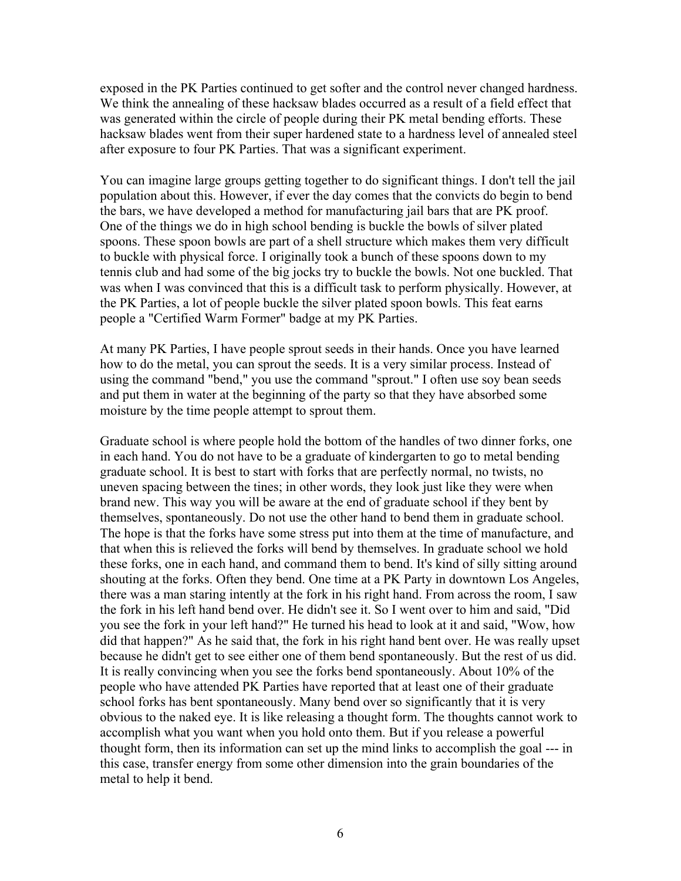exposed in the PK Parties continued to get softer and the control never changed hardness. We think the annealing of these hacksaw blades occurred as a result of a field effect that was generated within the circle of people during their PK metal bending efforts. These hacksaw blades went from their super hardened state to a hardness level of annealed steel after exposure to four PK Parties. That was a significant experiment.

You can imagine large groups getting together to do significant things. I don't tell the jail population about this. However, if ever the day comes that the convicts do begin to bend the bars, we have developed a method for manufacturing jail bars that are PK proof. One of the things we do in high school bending is buckle the bowls of silver plated spoons. These spoon bowls are part of a shell structure which makes them very difficult to buckle with physical force. I originally took a bunch of these spoons down to my tennis club and had some of the big jocks try to buckle the bowls. Not one buckled. That was when I was convinced that this is a difficult task to perform physically. However, at the PK Parties, a lot of people buckle the silver plated spoon bowls. This feat earns people a "Certified Warm Former" badge at my PK Parties.

At many PK Parties, I have people sprout seeds in their hands. Once you have learned how to do the metal, you can sprout the seeds. It is a very similar process. Instead of using the command "bend," you use the command "sprout." I often use soy bean seeds and put them in water at the beginning of the party so that they have absorbed some moisture by the time people attempt to sprout them.

Graduate school is where people hold the bottom of the handles of two dinner forks, one in each hand. You do not have to be a graduate of kindergarten to go to metal bending graduate school. It is best to start with forks that are perfectly normal, no twists, no uneven spacing between the tines; in other words, they look just like they were when brand new. This way you will be aware at the end of graduate school if they bent by themselves, spontaneously. Do not use the other hand to bend them in graduate school. The hope is that the forks have some stress put into them at the time of manufacture, and that when this is relieved the forks will bend by themselves. In graduate school we hold these forks, one in each hand, and command them to bend. It's kind of silly sitting around shouting at the forks. Often they bend. One time at a PK Party in downtown Los Angeles, there was a man staring intently at the fork in his right hand. From across the room, I saw the fork in his left hand bend over. He didn't see it. So I went over to him and said, "Did you see the fork in your left hand?" He turned his head to look at it and said, "Wow, how did that happen?" As he said that, the fork in his right hand bent over. He was really upset because he didn't get to see either one of them bend spontaneously. But the rest of us did. It is really convincing when you see the forks bend spontaneously. About 10% of the people who have attended PK Parties have reported that at least one of their graduate school forks has bent spontaneously. Many bend over so significantly that it is very obvious to the naked eye. It is like releasing a thought form. The thoughts cannot work to accomplish what you want when you hold onto them. But if you release a powerful thought form, then its information can set up the mind links to accomplish the goal --- in this case, transfer energy from some other dimension into the grain boundaries of the metal to help it bend.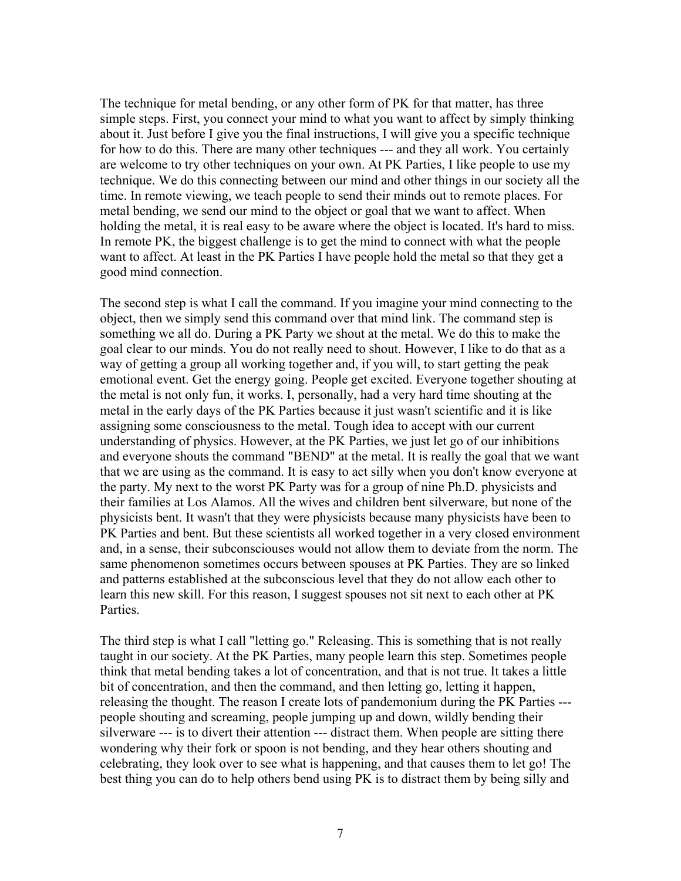The technique for metal bending, or any other form of PK for that matter, has three simple steps. First, you connect your mind to what you want to affect by simply thinking about it. Just before I give you the final instructions, I will give you a specific technique for how to do this. There are many other techniques --- and they all work. You certainly are welcome to try other techniques on your own. At PK Parties, I like people to use my technique. We do this connecting between our mind and other things in our society all the time. In remote viewing, we teach people to send their minds out to remote places. For metal bending, we send our mind to the object or goal that we want to affect. When holding the metal, it is real easy to be aware where the object is located. It's hard to miss. In remote PK, the biggest challenge is to get the mind to connect with what the people want to affect. At least in the PK Parties I have people hold the metal so that they get a good mind connection.

The second step is what I call the command. If you imagine your mind connecting to the object, then we simply send this command over that mind link. The command step is something we all do. During a PK Party we shout at the metal. We do this to make the goal clear to our minds. You do not really need to shout. However, I like to do that as a way of getting a group all working together and, if you will, to start getting the peak emotional event. Get the energy going. People get excited. Everyone together shouting at the metal is not only fun, it works. I, personally, had a very hard time shouting at the metal in the early days of the PK Parties because it just wasn't scientific and it is like assigning some consciousness to the metal. Tough idea to accept with our current understanding of physics. However, at the PK Parties, we just let go of our inhibitions and everyone shouts the command "BEND" at the metal. It is really the goal that we want that we are using as the command. It is easy to act silly when you don't know everyone at the party. My next to the worst PK Party was for a group of nine Ph.D. physicists and their families at Los Alamos. All the wives and children bent silverware, but none of the physicists bent. It wasn't that they were physicists because many physicists have been to PK Parties and bent. But these scientists all worked together in a very closed environment and, in a sense, their subconsciouses would not allow them to deviate from the norm. The same phenomenon sometimes occurs between spouses at PK Parties. They are so linked and patterns established at the subconscious level that they do not allow each other to learn this new skill. For this reason, I suggest spouses not sit next to each other at PK Parties.

The third step is what I call "letting go." Releasing. This is something that is not really taught in our society. At the PK Parties, many people learn this step. Sometimes people think that metal bending takes a lot of concentration, and that is not true. It takes a little bit of concentration, and then the command, and then letting go, letting it happen, releasing the thought. The reason I create lots of pandemonium during the PK Parties -- people shouting and screaming, people jumping up and down, wildly bending their silverware --- is to divert their attention --- distract them. When people are sitting there wondering why their fork or spoon is not bending, and they hear others shouting and celebrating, they look over to see what is happening, and that causes them to let go! The best thing you can do to help others bend using PK is to distract them by being silly and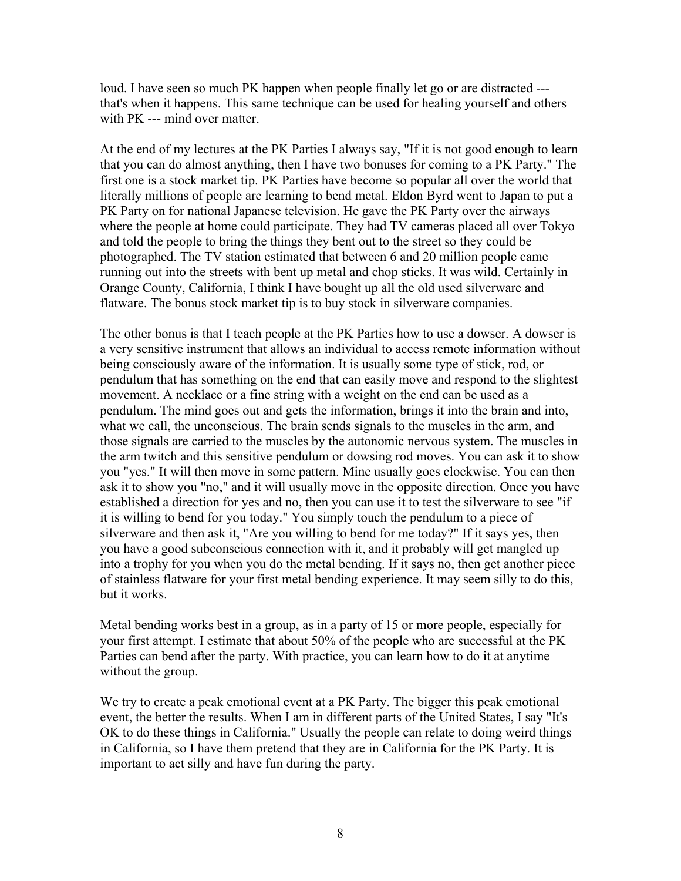loud. I have seen so much PK happen when people finally let go or are distracted -- that's when it happens. This same technique can be used for healing yourself and others with PK --- mind over matter.

At the end of my lectures at the PK Parties I always say, "If it is not good enough to learn that you can do almost anything, then I have two bonuses for coming to a PK Party." The first one is a stock market tip. PK Parties have become so popular all over the world that literally millions of people are learning to bend metal. Eldon Byrd went to Japan to put a PK Party on for national Japanese television. He gave the PK Party over the airways where the people at home could participate. They had TV cameras placed all over Tokyo and told the people to bring the things they bent out to the street so they could be photographed. The TV station estimated that between 6 and 20 million people came running out into the streets with bent up metal and chop sticks. It was wild. Certainly in Orange County, California, I think I have bought up all the old used silverware and flatware. The bonus stock market tip is to buy stock in silverware companies.

The other bonus is that I teach people at the PK Parties how to use a dowser. A dowser is a very sensitive instrument that allows an individual to access remote information without being consciously aware of the information. It is usually some type of stick, rod, or pendulum that has something on the end that can easily move and respond to the slightest movement. A necklace or a fine string with a weight on the end can be used as a pendulum. The mind goes out and gets the information, brings it into the brain and into, what we call, the unconscious. The brain sends signals to the muscles in the arm, and those signals are carried to the muscles by the autonomic nervous system. The muscles in the arm twitch and this sensitive pendulum or dowsing rod moves. You can ask it to show you "yes." It will then move in some pattern. Mine usually goes clockwise. You can then ask it to show you "no," and it will usually move in the opposite direction. Once you have established a direction for yes and no, then you can use it to test the silverware to see "if it is willing to bend for you today." You simply touch the pendulum to a piece of silverware and then ask it, "Are you willing to bend for me today?" If it says yes, then you have a good subconscious connection with it, and it probably will get mangled up into a trophy for you when you do the metal bending. If it says no, then get another piece of stainless flatware for your first metal bending experience. It may seem silly to do this, but it works.

Metal bending works best in a group, as in a party of 15 or more people, especially for your first attempt. I estimate that about 50% of the people who are successful at the PK Parties can bend after the party. With practice, you can learn how to do it at anytime without the group.

We try to create a peak emotional event at a PK Party. The bigger this peak emotional event, the better the results. When I am in different parts of the United States, I say "It's OK to do these things in California." Usually the people can relate to doing weird things in California, so I have them pretend that they are in California for the PK Party. It is important to act silly and have fun during the party.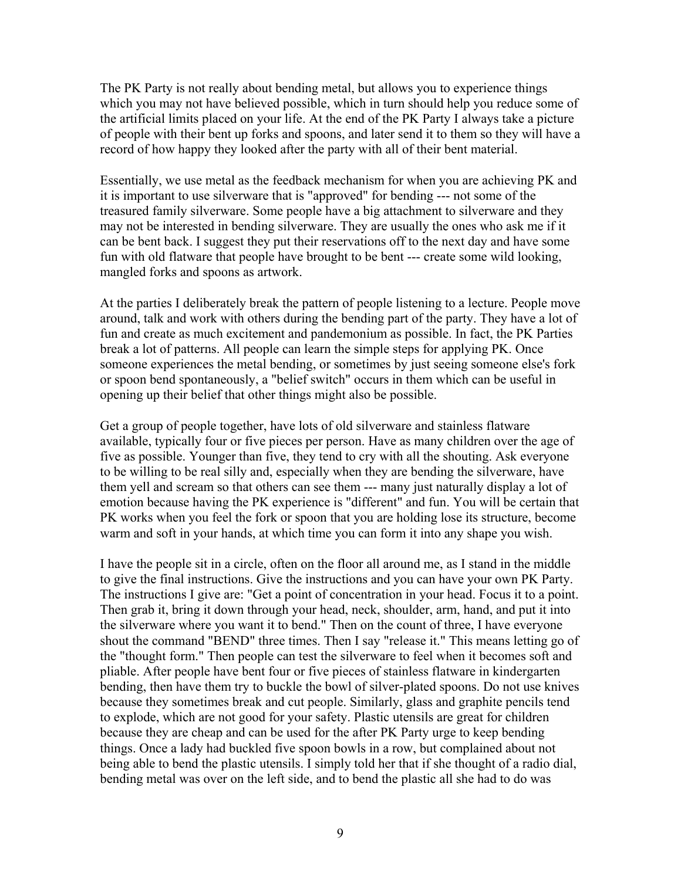The PK Party is not really about bending metal, but allows you to experience things which you may not have believed possible, which in turn should help you reduce some of the artificial limits placed on your life. At the end of the PK Party I always take a picture of people with their bent up forks and spoons, and later send it to them so they will have a record of how happy they looked after the party with all of their bent material.

Essentially, we use metal as the feedback mechanism for when you are achieving PK and it is important to use silverware that is "approved" for bending --- not some of the treasured family silverware. Some people have a big attachment to silverware and they may not be interested in bending silverware. They are usually the ones who ask me if it can be bent back. I suggest they put their reservations off to the next day and have some fun with old flatware that people have brought to be bent --- create some wild looking, mangled forks and spoons as artwork.

At the parties I deliberately break the pattern of people listening to a lecture. People move around, talk and work with others during the bending part of the party. They have a lot of fun and create as much excitement and pandemonium as possible. In fact, the PK Parties break a lot of patterns. All people can learn the simple steps for applying PK. Once someone experiences the metal bending, or sometimes by just seeing someone else's fork or spoon bend spontaneously, a "belief switch" occurs in them which can be useful in opening up their belief that other things might also be possible.

Get a group of people together, have lots of old silverware and stainless flatware available, typically four or five pieces per person. Have as many children over the age of five as possible. Younger than five, they tend to cry with all the shouting. Ask everyone to be willing to be real silly and, especially when they are bending the silverware, have them yell and scream so that others can see them --- many just naturally display a lot of emotion because having the PK experience is "different" and fun. You will be certain that PK works when you feel the fork or spoon that you are holding lose its structure, become warm and soft in your hands, at which time you can form it into any shape you wish.

I have the people sit in a circle, often on the floor all around me, as I stand in the middle to give the final instructions. Give the instructions and you can have your own PK Party. The instructions I give are: "Get a point of concentration in your head. Focus it to a point. Then grab it, bring it down through your head, neck, shoulder, arm, hand, and put it into the silverware where you want it to bend." Then on the count of three, I have everyone shout the command "BEND" three times. Then I say "release it." This means letting go of the "thought form." Then people can test the silverware to feel when it becomes soft and pliable. After people have bent four or five pieces of stainless flatware in kindergarten bending, then have them try to buckle the bowl of silver-plated spoons. Do not use knives because they sometimes break and cut people. Similarly, glass and graphite pencils tend to explode, which are not good for your safety. Plastic utensils are great for children because they are cheap and can be used for the after PK Party urge to keep bending things. Once a lady had buckled five spoon bowls in a row, but complained about not being able to bend the plastic utensils. I simply told her that if she thought of a radio dial, bending metal was over on the left side, and to bend the plastic all she had to do was